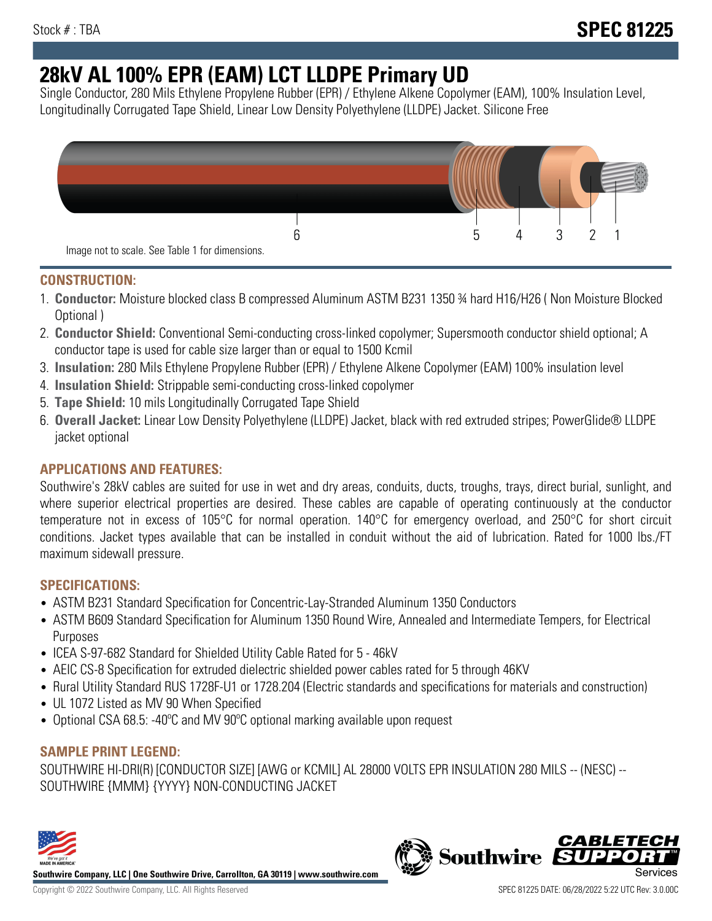# **28kV AL 100% EPR (EAM) LCT LLDPE Primary UD**

Single Conductor, 280 Mils Ethylene Propylene Rubber (EPR) / Ethylene Alkene Copolymer (EAM), 100% Insulation Level, Longitudinally Corrugated Tape Shield, Linear Low Density Polyethylene (LLDPE) Jacket. Silicone Free



## **CONSTRUCTION:**

- 1. **Conductor:** Moisture blocked class B compressed Aluminum ASTM B231 1350 ¾ hard H16/H26 ( Non Moisture Blocked Optional )
- 2. **Conductor Shield:** Conventional Semi-conducting cross-linked copolymer; Supersmooth conductor shield optional; A conductor tape is used for cable size larger than or equal to 1500 Kcmil
- 3. **Insulation:** 280 Mils Ethylene Propylene Rubber (EPR) / Ethylene Alkene Copolymer (EAM) 100% insulation level
- 4. **Insulation Shield:** Strippable semi-conducting cross-linked copolymer
- 5. **Tape Shield:** 10 mils Longitudinally Corrugated Tape Shield
- 6. **Overall Jacket:** Linear Low Density Polyethylene (LLDPE) Jacket, black with red extruded stripes; PowerGlide® LLDPE jacket optional

# **APPLICATIONS AND FEATURES:**

Southwire's 28kV cables are suited for use in wet and dry areas, conduits, ducts, troughs, trays, direct burial, sunlight, and where superior electrical properties are desired. These cables are capable of operating continuously at the conductor temperature not in excess of 105°C for normal operation. 140°C for emergency overload, and 250°C for short circuit conditions. Jacket types available that can be installed in conduit without the aid of lubrication. Rated for 1000 lbs./FT maximum sidewall pressure.

## **SPECIFICATIONS:**

- ASTM B231 Standard Specification for Concentric-Lay-Stranded Aluminum 1350 Conductors
- ASTM B609 Standard Specification for Aluminum 1350 Round Wire, Annealed and Intermediate Tempers, for Electrical Purposes
- ICEA S-97-682 Standard for Shielded Utility Cable Rated for 5 46kV
- AEIC CS-8 Specification for extruded dielectric shielded power cables rated for 5 through 46KV
- Rural Utility Standard RUS 1728F-U1 or 1728.204 (Electric standards and specifications for materials and construction)
- UL 1072 Listed as MV 90 When Specified
- Optional CSA 68.5: -40ºC and MV 90ºC optional marking available upon request

## **SAMPLE PRINT LEGEND:**

SOUTHWIRE HI-DRI(R) [CONDUCTOR SIZE] [AWG or KCMIL] AL 28000 VOLTS EPR INSULATION 280 MILS -- (NESC) -- SOUTHWIRE {MMM} {YYYY} NON-CONDUCTING JACKET



**Southwire Company, LLC | One Southwire Drive, Carrollton, GA 30119 | www.southwire.com**